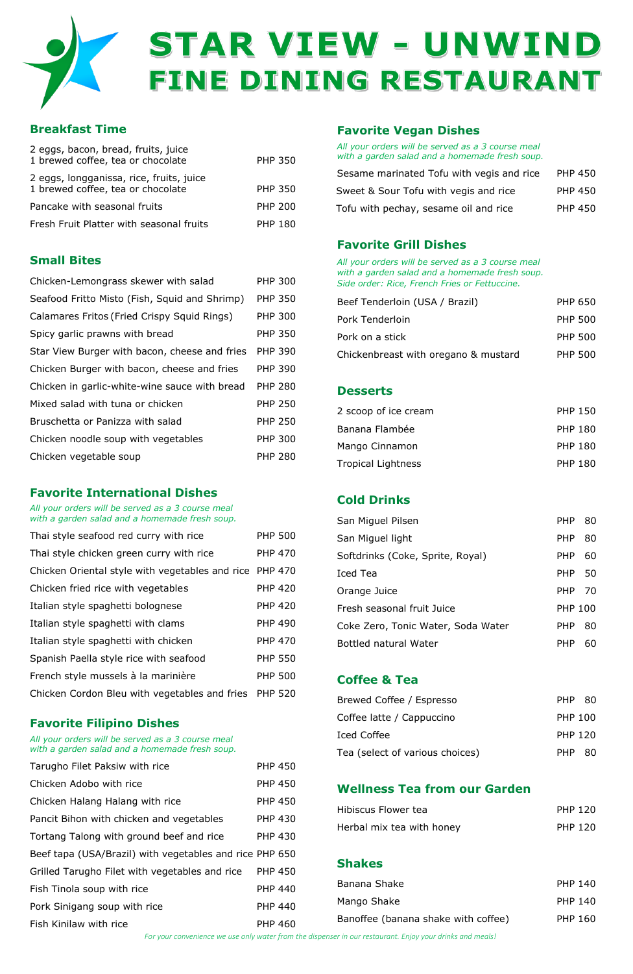

# STAR VIEW - UNWIND FINE DINING RESTAURANT

# **Breakfast Time**

| 2 eggs, bacon, bread, fruits, juice<br>1 brewed coffee, tea or chocolate      | PHP 350        |
|-------------------------------------------------------------------------------|----------------|
| 2 eggs, longganissa, rice, fruits, juice<br>1 brewed coffee, tea or chocolate | <b>PHP 350</b> |
| Pancake with seasonal fruits                                                  | <b>PHP 200</b> |
| Fresh Fruit Platter with seasonal fruits                                      | <b>PHP 180</b> |

# **Small Bites**

| Chicken-Lemongrass skewer with salad          | PHP 300        |
|-----------------------------------------------|----------------|
| Seafood Fritto Misto (Fish, Squid and Shrimp) | <b>PHP 350</b> |
| Calamares Fritos (Fried Crispy Squid Rings)   | <b>PHP 300</b> |
| Spicy garlic prawns with bread                | PHP 350        |
| Star View Burger with bacon, cheese and fries | <b>PHP 390</b> |
| Chicken Burger with bacon, cheese and fries   | <b>PHP 390</b> |
| Chicken in garlic-white-wine sauce with bread | <b>PHP 280</b> |
| Mixed salad with tuna or chicken              | PHP 250        |
| Bruschetta or Panizza with salad              | PHP 250        |
| Chicken noodle soup with vegetables           | PHP 300        |
| Chicken vegetable soup                        | PHP 280        |

## **Favorite International Dishes**

*All your orders will be served as a 3 course meal with a garden salad and a homemade fresh soup.*

| Thai style seafood red curry with rice          | <b>PHP 500</b> |
|-------------------------------------------------|----------------|
| Thai style chicken green curry with rice        | <b>PHP 470</b> |
| Chicken Oriental style with vegetables and rice | <b>PHP 470</b> |
| Chicken fried rice with vegetables              | <b>PHP 420</b> |
| Italian style spaghetti bolognese               | <b>PHP 420</b> |
| Italian style spaghetti with clams              | <b>PHP 490</b> |
| Italian style spaghetti with chicken            | <b>PHP 470</b> |
| Spanish Paella style rice with seafood          | <b>PHP 550</b> |
| French style mussels à la marinière             | <b>PHP 500</b> |
| Chicken Cordon Bleu with vegetables and fries   | <b>PHP 520</b> |

### **Favorite Filipino Dishes**

*All your orders will be served as a 3 course meal with a garden salad and a homemade fresh soup.*

| Tarugho Filet Paksiw with rice                          | <b>PHP 450</b> |
|---------------------------------------------------------|----------------|
| Chicken Adobo with rice                                 | <b>PHP 450</b> |
| Chicken Halang Halang with rice                         | <b>PHP 450</b> |
| Pancit Bihon with chicken and vegetables                | <b>PHP 430</b> |
| Tortang Talong with ground beef and rice                | <b>PHP 430</b> |
| Beef tapa (USA/Brazil) with vegetables and rice PHP 650 |                |
| Grilled Tarugho Filet with vegetables and rice          | <b>PHP 450</b> |
| Fish Tinola soup with rice                              | <b>PHP 440</b> |
| Pork Sinigang soup with rice                            | <b>PHP 440</b> |
| Fish Kinilaw with rice                                  | <b>PHP 460</b> |

# **Favorite Vegan Dishes**

*All your orders will be served as a 3 course meal with a garden salad and a homemade fresh soup.* Sesame marinated Tofu with vegis and rice PHP 450

| Sesanie maniated Tolu With Veuls and rice | - POP 430      |
|-------------------------------------------|----------------|
| Sweet & Sour Tofu with yegis and rice     | <b>PHP 450</b> |
| Tofu with pechay, sesame oil and rice     | <b>PHP 450</b> |

# **Favorite Grill Dishes**

*All your orders will be served as a 3 course meal with a garden salad and a homemade fresh soup. Side order: Rice, French Fries or Fettuccine.*

| Beef Tenderloin (USA / Brazil)       | PHP 650        |  |
|--------------------------------------|----------------|--|
| Pork Tenderloin                      | <b>PHP 500</b> |  |
| Pork on a stick                      | PHP 500        |  |
| Chickenbreast with oregano & mustard | <b>PHP 500</b> |  |

# **Desserts**

| 2 scoop of ice cream | PHP 150        |
|----------------------|----------------|
| Banana Flambée       | <b>PHP 180</b> |
| Mango Cinnamon       | <b>PHP 180</b> |
| Tropical Lightness   | <b>PHP 180</b> |

# **Cold Drinks**

| San Miguel Pilsen                              |                |
|------------------------------------------------|----------------|
| <b>PHP</b><br>San Miguel light                 | 80             |
| Softdrinks (Coke, Sprite, Royal)<br><b>PHP</b> | 60             |
| Iced Tea                                       | PHP 50         |
| Orange Juice                                   | PHP 70         |
| Fresh seasonal fruit Juice                     | <b>PHP 100</b> |
| Coke Zero, Tonic Water, Soda Water<br>PHP      | 80             |
| Bottled natural Water<br>PHP                   | 60             |

# **Coffee & Tea**

| Brewed Coffee / Espresso        | PHP 80         |  |
|---------------------------------|----------------|--|
| Coffee latte / Cappuccino       | PHP 100        |  |
| Iced Coffee                     | <b>PHP 120</b> |  |
| Tea (select of various choices) | PHP 80         |  |

# **Wellness Tea from our Garden**

| Hibiscus Flower tea       | <b>PHP 120</b> |
|---------------------------|----------------|
| Herbal mix tea with honey | <b>PHP 120</b> |

### **Shakes**

| Banana Shake                        | <b>PHP 140</b> |
|-------------------------------------|----------------|
| Mango Shake                         | PHP 140        |
| Banoffee (banana shake with coffee) | PHP 160        |

*For your convenience we use only water from the dispenser in our restaurant. Enjoy your drinks and meals!*